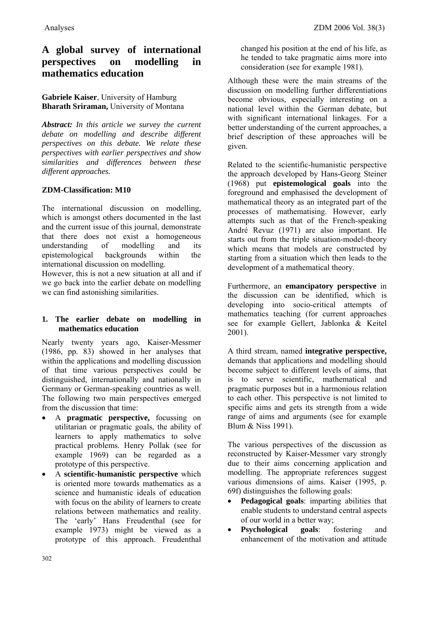# **A global survey of international perspectives on modelling in mathematics education**

# **Gabriele Kaiser**, University of Hamburg **Bharath Sriraman,** University of Montana

*Abstract: In this article we survey the current debate on modelling and describe different perspectives on this debate. We relate these perspectives with earlier perspectives and show similarities and differences between these different approaches.* 

# **ZDM-Classification: M10**

The international discussion on modelling, which is amongst others documented in the last and the current issue of this journal, demonstrate that there does not exist a homogeneous understanding of modelling and its epistemological backgrounds within the international discussion on modelling.

However, this is not a new situation at all and if we go back into the earlier debate on modelling we can find astonishing similarities.

# **1. The earlier debate on modelling in mathematics education**

Nearly twenty years ago, Kaiser-Messmer (1986, pp. 83) showed in her analyses that within the applications and modelling discussion of that time various perspectives could be distinguished, internationally and nationally in Germany or German-speaking countries as well. The following two main perspectives emerged from the discussion that time:

- A **pragmatic perspective,** focussing on utilitarian or pragmatic goals, the ability of learners to apply mathematics to solve practical problems. Henry Pollak (see for example 1969) can be regarded as a prototype of this perspective.
- A **scientific-humanistic perspective** which is oriented more towards mathematics as a science and humanistic ideals of education with focus on the ability of learners to create relations between mathematics and reality. The 'early' Hans Freudenthal (see for example 1973) might be viewed as a prototype of this approach. Freudenthal

changed his position at the end of his life, as he tended to take pragmatic aims more into consideration (see for example 1981).

Although these were the main streams of the discussion on modelling further differentiations become obvious, especially interesting on a national level within the German debate, but with significant international linkages. For a better understanding of the current approaches, a brief description of these approaches will be given.

Related to the scientific-humanistic perspective the approach developed by Hans-Georg Steiner (1968) put **epistemological goals** into the foreground and emphasised the development of mathematical theory as an integrated part of the processes of mathematising. However, early attempts such as that of the French-speaking André Revuz (1971) are also important. He starts out from the triple situation-model-theory which means that models are constructed by starting from a situation which then leads to the development of a mathematical theory.

Furthermore, an **emancipatory perspective** in the discussion can be identified, which is developing into socio-critical attempts of mathematics teaching (for current approaches see for example Gellert, Jablonka & Keitel 2001).

A third stream, named **integrative perspective,** demands that applications and modelling should become subject to different levels of aims, that is to serve scientific, mathematical and pragmatic purposes but in a harmonious relation to each other. This perspective is not limited to specific aims and gets its strength from a wide range of aims and arguments (see for example Blum & Niss 1991).

The various perspectives of the discussion as reconstructed by Kaiser-Messmer vary strongly due to their aims concerning application and modelling. The appropriate references suggest various dimensions of aims. Kaiser (1995, p. 69f) distinguishes the following goals:

- **Pedagogical goals**: imparting abilities that enable students to understand central aspects of our world in a better way;
- **Psychological goals**: fostering and enhancement of the motivation and attitude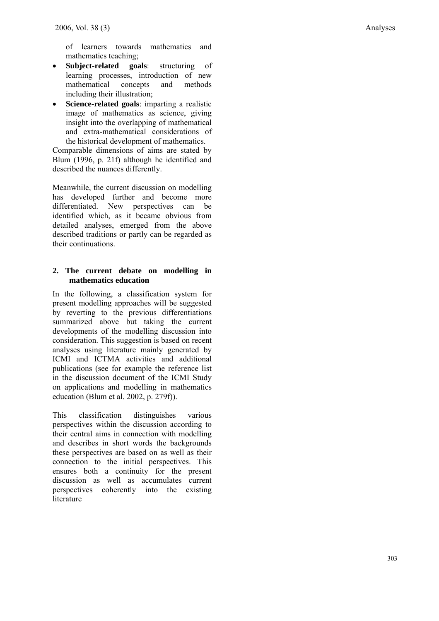of learners towards mathematics and mathematics teaching;

- **Subject-related goals**: structuring of learning processes, introduction of new mathematical concepts and methods including their illustration;
- **Science-related goals**: imparting a realistic image of mathematics as science, giving insight into the overlapping of mathematical and extra-mathematical considerations of the historical development of mathematics.

Comparable dimensions of aims are stated by Blum (1996, p. 21f) although he identified and described the nuances differently.

Meanwhile, the current discussion on modelling has developed further and become more differentiated. New perspectives can be identified which, as it became obvious from detailed analyses, emerged from the above described traditions or partly can be regarded as their continuations.

## **2. The current debate on modelling in mathematics education**

In the following, a classification system for present modelling approaches will be suggested by reverting to the previous differentiations summarized above but taking the current developments of the modelling discussion into consideration. This suggestion is based on recent analyses using literature mainly generated by ICMI and ICTMA activities and additional publications (see for example the reference list in the discussion document of the ICMI Study on applications and modelling in mathematics education (Blum et al. 2002, p. 279f)).

This classification distinguishes various perspectives within the discussion according to their central aims in connection with modelling and describes in short words the backgrounds these perspectives are based on as well as their connection to the initial perspectives. This ensures both a continuity for the present discussion as well as accumulates current perspectives coherently into the existing literature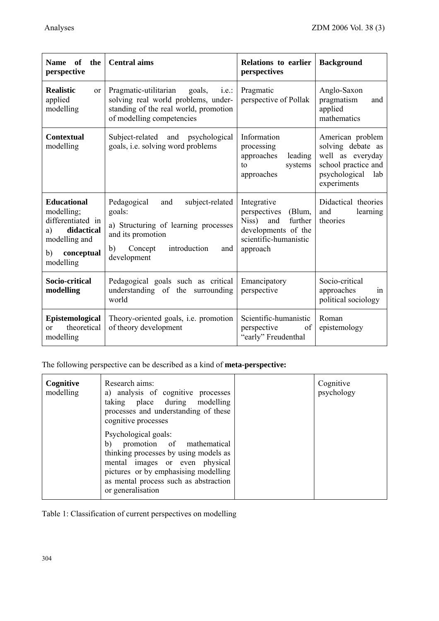| <b>Name</b><br>of<br>the<br>perspective                                                                                     | <b>Central aims</b>                                                                                                                                                 | Relations to earlier<br>perspectives                                                                                         | <b>Background</b>                                                                                                       |
|-----------------------------------------------------------------------------------------------------------------------------|---------------------------------------------------------------------------------------------------------------------------------------------------------------------|------------------------------------------------------------------------------------------------------------------------------|-------------------------------------------------------------------------------------------------------------------------|
| <b>Realistic</b><br><sub>or</sub><br>applied<br>modelling                                                                   | Pragmatic-utilitarian<br>goals,<br>i.e.<br>solving real world problems, under-<br>standing of the real world, promotion<br>of modelling competencies                | Pragmatic<br>perspective of Pollak                                                                                           | Anglo-Saxon<br>pragmatism<br>and<br>applied<br>mathematics                                                              |
| <b>Contextual</b><br>modelling                                                                                              | Subject-related and psychological<br>goals, i.e. solving word problems                                                                                              | Information<br>processing<br>approaches<br>leading<br>to<br>systems<br>approaches                                            | American problem<br>solving debate as<br>well as everyday<br>school practice and<br>psychological<br>lab<br>experiments |
| <b>Educational</b><br>modelling;<br>differentiated in<br>didactical<br>a)<br>modelling and<br>b)<br>conceptual<br>modelling | Pedagogical<br>subject-related<br>and<br>goals:<br>a) Structuring of learning processes<br>and its promotion<br>introduction<br>b)<br>Concept<br>and<br>development | Integrative<br>perspectives<br>(Blum,<br>Niss)<br>and<br>further<br>developments of the<br>scientific-humanistic<br>approach | Didactical theories<br>and<br>learning<br>theories                                                                      |
| Socio-critical<br>modelling                                                                                                 | Pedagogical goals such as critical<br>understanding of the surrounding<br>world                                                                                     | Emancipatory<br>perspective                                                                                                  | Socio-critical<br>approaches<br>in<br>political sociology                                                               |
| Epistemological<br>theoretical<br>$\alpha$<br>modelling                                                                     | Theory-oriented goals, <i>i.e.</i> promotion<br>of theory development                                                                                               | Scientific-humanistic<br>of<br>perspective<br>"early" Freudenthal                                                            | Roman<br>epistemology                                                                                                   |

The following perspective can be described as a kind of **meta-perspective:**

| Cognitive<br>modelling | Research aims:<br>a) analysis of cognitive processes<br>taking place during modelling<br>processes and understanding of these<br>cognitive processes                                                                                  | Cognitive<br>psychology |
|------------------------|---------------------------------------------------------------------------------------------------------------------------------------------------------------------------------------------------------------------------------------|-------------------------|
|                        | Psychological goals:<br>b) promotion of mathematical<br>thinking processes by using models as<br>mental images or even physical<br>pictures or by emphasising modelling<br>as mental process such as abstraction<br>or generalisation |                         |

Table 1: Classification of current perspectives on modelling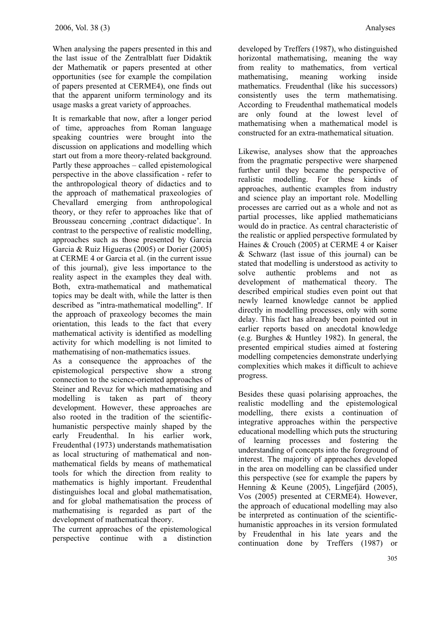When analysing the papers presented in this and the last issue of the Zentralblatt fuer Didaktik der Mathematik or papers presented at other opportunities (see for example the compilation of papers presented at CERME4), one finds out that the apparent uniform terminology and its usage masks a great variety of approaches.

It is remarkable that now, after a longer period of time, approaches from Roman language speaking countries were brought into the discussion on applications and modelling which start out from a more theory-related background. Partly these approaches – called epistemological perspective in the above classification - refer to the anthropological theory of didactics and to the approach of mathematical praxeologies of Chevallard emerging from anthropological theory, or they refer to approaches like that of Brousseau concerning contract didactique'. In contrast to the perspective of realistic modelling, approaches such as those presented by Garcia Garcia & Ruiz Higueras (2005) or Dorier (2005) at CERME 4 or Garcia et al. (in the current issue of this journal), give less importance to the reality aspect in the examples they deal with. Both, extra-mathematical and mathematical topics may be dealt with, while the latter is then described as "intra-mathematical modelling". If the approach of praxeology becomes the main orientation, this leads to the fact that every mathematical activity is identified as modelling activity for which modelling is not limited to mathematising of non-mathematics issues.

As a consequence the approaches of the epistemological perspective show a strong connection to the science-oriented approaches of Steiner and Revuz for which mathematising and modelling is taken as part of theory development. However, these approaches are also rooted in the tradition of the scientifichumanistic perspective mainly shaped by the early Freudenthal. In his earlier work, Freudenthal (1973) understands mathematisation as local structuring of mathematical and nonmathematical fields by means of mathematical tools for which the direction from reality to mathematics is highly important. Freudenthal distinguishes local and global mathematisation, and for global mathematisation the process of mathematising is regarded as part of the development of mathematical theory.

The current approaches of the epistemological perspective continue with a distinction

developed by Treffers (1987), who distinguished horizontal mathematising, meaning the way from reality to mathematics, from vertical mathematising, meaning working inside mathematics. Freudenthal (like his successors) consistently uses the term mathematising. According to Freudenthal mathematical models are only found at the lowest level of mathematising when a mathematical model is constructed for an extra-mathematical situation.

Likewise, analyses show that the approaches from the pragmatic perspective were sharpened further until they became the perspective of realistic modelling. For these kinds of approaches, authentic examples from industry and science play an important role. Modelling processes are carried out as a whole and not as partial processes, like applied mathematicians would do in practice. As central characteristic of the realistic or applied perspective formulated by Haines & Crouch (2005) at CERME 4 or Kaiser & Schwarz (last issue of this journal) can be stated that modelling is understood as activity to solve authentic problems and not as development of mathematical theory. The described empirical studies even point out that newly learned knowledge cannot be applied directly in modelling processes, only with some delay. This fact has already been pointed out in earlier reports based on anecdotal knowledge (e.g. Burghes & Huntley 1982). In general, the presented empirical studies aimed at fostering modelling competencies demonstrate underlying complexities which makes it difficult to achieve progress.

Besides these quasi polarising approaches, the realistic modelling and the epistemological modelling, there exists a continuation of integrative approaches within the perspective educational modelling which puts the structuring of learning processes and fostering the understanding of concepts into the foreground of interest. The majority of approaches developed in the area on modelling can be classified under this perspective (see for example the papers by Henning & Keune (2005), Lingefjärd (2005), Vos (2005) presented at CERME4). However, the approach of educational modelling may also be interpreted as continuation of the scientifichumanistic approaches in its version formulated by Freudenthal in his late years and the continuation done by Treffers (1987) or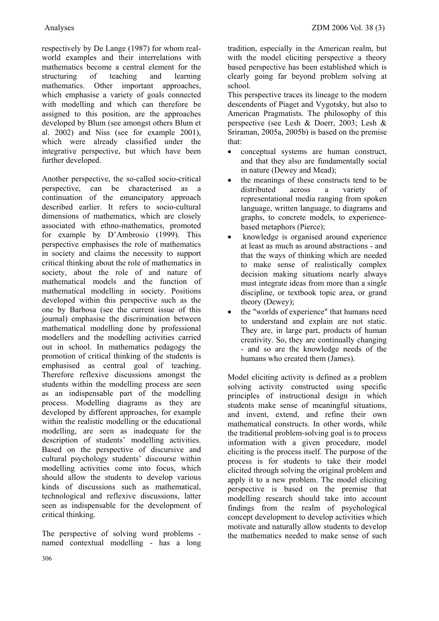respectively by De Lange (1987) for whom realworld examples and their interrelations with mathematics become a central element for the structuring of teaching and learning mathematics. Other important approaches, which emphasise a variety of goals connected with modelling and which can therefore be assigned to this position, are the approaches developed by Blum (see amongst others Blum et al. 2002) and Niss (see for example 2001), which were already classified under the integrative perspective, but which have been further developed.

Another perspective, the so-called socio-critical perspective, can be characterised as a continuation of the emancipatory approach described earlier. It refers to socio-cultural dimensions of mathematics, which are closely associated with ethno-mathematics, promoted for example by D'Ambrosio (1999). This perspective emphasises the role of mathematics in society and claims the necessity to support critical thinking about the role of mathematics in society, about the role of and nature of mathematical models and the function of mathematical modelling in society. Positions developed within this perspective such as the one by Barbosa (see the current issue of this journal) emphasise the discrimination between mathematical modelling done by professional modellers and the modelling activities carried out in school. In mathematics pedagogy the promotion of critical thinking of the students is emphasised as central goal of teaching. Therefore reflexive discussions amongst the students within the modelling process are seen as an indispensable part of the modelling process. Modelling diagrams as they are developed by different approaches, for example within the realistic modelling or the educational modelling, are seen as inadequate for the description of students' modelling activities. Based on the perspective of discursive and cultural psychology students' discourse within modelling activities come into focus, which should allow the students to develop various kinds of discussions such as mathematical, technological and reflexive discussions, latter seen as indispensable for the development of critical thinking.

The perspective of solving word problems named contextual modelling - has a long tradition, especially in the American realm, but with the model eliciting perspective a theory based perspective has been established which is clearly going far beyond problem solving at school.

This perspective traces its lineage to the modern descendents of Piaget and Vygotsky, but also to American Pragmatists. The philosophy of this perspective (see Lesh & Doerr, 2003; Lesh & Sriraman, 2005a, 2005b) is based on the premise that:

- conceptual systems are human construct, and that they also are fundamentally social in nature (Dewey and Mead);
- the meanings of these constructs tend to be distributed across a variety of representational media ranging from spoken language, written language, to diagrams and graphs, to concrete models, to experiencebased metaphors (Pierce);
- knowledge is organised around experience at least as much as around abstractions - and that the ways of thinking which are needed to make sense of realistically complex decision making situations nearly always must integrate ideas from more than a single discipline, or textbook topic area, or grand theory (Dewey);
- the "worlds of experience" that humans need to understand and explain are not static. They are, in large part, products of human creativity. So, they are continually changing - and so are the knowledge needs of the humans who created them (James).

Model eliciting activity is defined as a problem solving activity constructed using specific principles of instructional design in which students make sense of meaningful situations, and invent, extend, and refine their own mathematical constructs. In other words, while the traditional problem-solving goal is to process information with a given procedure, model eliciting is the process itself. The purpose of the process is for students to take their model elicited through solving the original problem and apply it to a new problem. The model eliciting perspective is based on the premise that modelling research should take into account findings from the realm of psychological concept development to develop activities which motivate and naturally allow students to develop the mathematics needed to make sense of such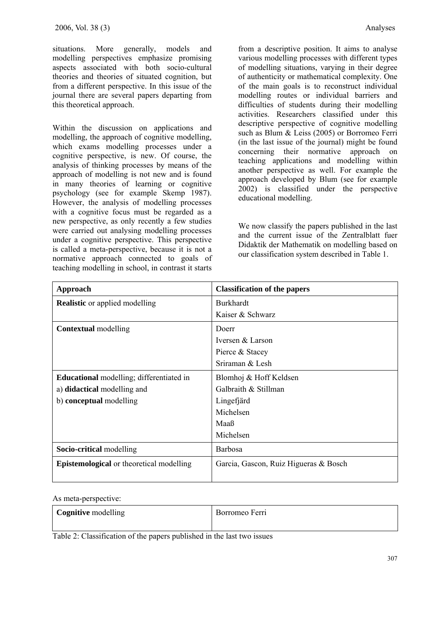situations. More generally, models and modelling perspectives emphasize promising aspects associated with both socio-cultural theories and theories of situated cognition, but from a different perspective. In this issue of the journal there are several papers departing from this theoretical approach.

Within the discussion on applications and modelling, the approach of cognitive modelling, which exams modelling processes under a cognitive perspective, is new. Of course, the analysis of thinking processes by means of the approach of modelling is not new and is found in many theories of learning or cognitive psychology (see for example Skemp 1987). However, the analysis of modelling processes with a cognitive focus must be regarded as a new perspective, as only recently a few studies were carried out analysing modelling processes under a cognitive perspective. This perspective is called a meta-perspective, because it is not a normative approach connected to goals of teaching modelling in school, in contrast it starts

from a descriptive position. It aims to analyse various modelling processes with different types of modelling situations, varying in their degree of authenticity or mathematical complexity. One of the main goals is to reconstruct individual modelling routes or individual barriers and difficulties of students during their modelling activities. Researchers classified under this descriptive perspective of cognitive modelling such as Blum & Leiss (2005) or Borromeo Ferri (in the last issue of the journal) might be found concerning their normative approach on teaching applications and modelling within another perspective as well. For example the approach developed by Blum (see for example 2002) is classified under the perspective educational modelling.

We now classify the papers published in the last and the current issue of the Zentralblatt fuer Didaktik der Mathematik on modelling based on our classification system described in Table 1.

| Approach                                        | <b>Classification of the papers</b>   |
|-------------------------------------------------|---------------------------------------|
| <b>Realistic</b> or applied modelling           | <b>Burkhardt</b>                      |
|                                                 | Kaiser & Schwarz                      |
| <b>Contextual</b> modelling                     | Doerr                                 |
|                                                 | Iversen & Larson                      |
|                                                 | Pierce & Stacey                       |
|                                                 | Sriraman & Lesh                       |
| <b>Educational</b> modelling; differentiated in | Blomhoj & Hoff Keldsen                |
| a) didactical modelling and                     | Galbraith & Stillman                  |
| b) conceptual modelling                         | Lingefjärd                            |
|                                                 | Michelsen                             |
|                                                 | Maaß                                  |
|                                                 | Michelsen                             |
| Socio-critical modelling                        | <b>Barbosa</b>                        |
| <b>Epistemological</b> or theoretical modelling | Garcia, Gascon, Ruiz Higueras & Bosch |
|                                                 |                                       |

#### As meta-perspective:

| <b>Cognitive</b> modelling | Borromeo Ferri |
|----------------------------|----------------|
|                            |                |

Table 2: Classification of the papers published in the last two issues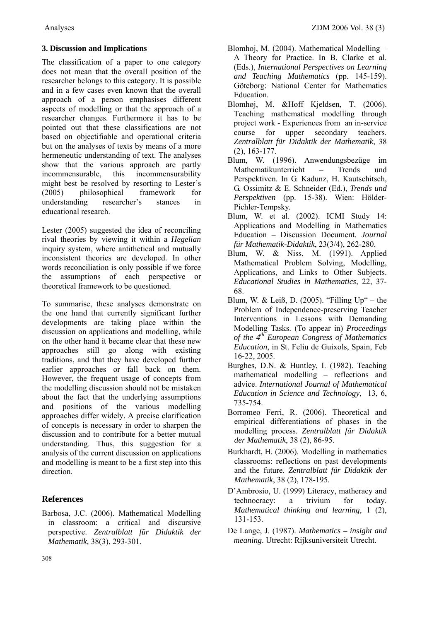### **3. Discussion and Implications**

The classification of a paper to one category does not mean that the overall position of the researcher belongs to this category. It is possible and in a few cases even known that the overall approach of a person emphasises different aspects of modelling or that the approach of a researcher changes. Furthermore it has to be pointed out that these classifications are not based on objectifiable and operational criteria but on the analyses of texts by means of a more hermeneutic understanding of text. The analyses show that the various approach are partly incommensurable, this incommensurability might best be resolved by resorting to Lester's (2005) philosophical framework for understanding researcher's stances in educational research.

Lester (2005) suggested the idea of reconciling rival theories by viewing it within a *Hegelian*  inquiry system, where antithetical and mutually inconsistent theories are developed. In other words reconciliation is only possible if we force the assumptions of each perspective or theoretical framework to be questioned.

To summarise, these analyses demonstrate on the one hand that currently significant further developments are taking place within the discussion on applications and modelling, while on the other hand it became clear that these new approaches still go along with existing traditions, and that they have developed further earlier approaches or fall back on them. However, the frequent usage of concepts from the modelling discussion should not be mistaken about the fact that the underlying assumptions and positions of the various modelling approaches differ widely. A precise clarification of concepts is necessary in order to sharpen the discussion and to contribute for a better mutual understanding. Thus, this suggestion for a analysis of the current discussion on applications and modelling is meant to be a first step into this direction.

# **References**

Barbosa, J.C. (2006). Mathematical Modelling in classroom: a critical and discursive perspective. *Zentralblatt für Didaktik der Mathematik,* 38(3), 293-301.

- Blomhoj, M. (2004). Mathematical Modelling A Theory for Practice. In B. Clarke et al. (Eds.), *International Perspectives on Learning and Teaching Mathematics* (pp. 145-159). Göteborg: National Center for Mathematics Education.
- Blomhøj, M. &Hoff Kjeldsen, T. (2006). Teaching mathematical modelling through project work - Experiences from an in-service course for upper secondary teachers. *Zentralblatt für Didaktik der Mathematik*, 38 (2), 163-177.
- Blum, W. (1996). Anwendungsbezüge im Mathematikunterricht – Trends und Perspektiven. In G. Kadunz, H. Kautschitsch, G. Ossimitz & E. Schneider (Ed.), *Trends und Perspektiven* (pp. 15-38). Wien: Hölder-Pichler-Tempsky.
- Blum, W. et al. (2002). ICMI Study 14: Applications and Modelling in Mathematics Education – Discussion Document. *Journal für Mathematik-Didaktik*, 23(3/4), 262-280.
- Blum, W. & Niss, M. (1991). Applied Mathematical Problem Solving, Modelling, Applications, and Links to Other Subjects. *Educational Studies in Mathematics,* 22, 37- 68.
- Blum, W. & Leiß, D. (2005). "Filling Up" the Problem of Independence-preserving Teacher Interventions in Lessons with Demanding Modelling Tasks. (To appear in) *Proceedings of the 4th European Congress of Mathematics Education*, in St. Feliu de Guixols, Spain, Feb 16-22, 2005.
- Burghes, D.N. & Huntley, I. (1982). Teaching mathematical modelling – reflections and advice. *International Journal of Mathematical Education in Science and Technology*, 13, 6, 735-754.
- Borromeo Ferri, R. (2006). Theoretical and empirical differentiations of phases in the modelling process. *Zentralblatt für Didaktik der Mathematik*, 38 (2), 86-95.
- Burkhardt, H. (2006). Modelling in mathematics classrooms: reflections on past developments and the future. *Zentralblatt für Didaktik der Mathematik*, 38 (2), 178-195.
- D'Ambrosio, U. (1999) Literacy, matheracy and technocracy: a trivium for today. *Mathematical thinking and learning*, 1 (2), 131-153.
- De Lange, J. (1987). *Mathematics insight and meaning*. Utrecht: Rijksuniversiteit Utrecht.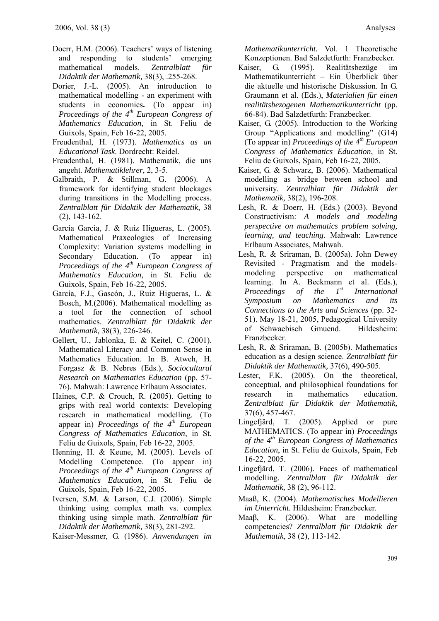- Doerr, H.M. (2006). Teachers' ways of listening and responding to students' emerging mathematical models. *Zentralblatt für Didaktik der Mathematik,* 38(3), .255-268.
- Dorier, J.-L. (2005). An introduction to mathematical modelling - an experiment with students in economics**.** (To appear in) *Proceedings of the 4th European Congress of Mathematics Education*, in St. Feliu de Guixols, Spain, Feb 16-22, 2005.
- Freudenthal, H. (1973). *Mathematics as an Educational Task*. Dordrecht: Reidel.
- Freudenthal, H. (1981). Mathematik, die uns angeht. *Mathematiklehrer*, 2, 3-5.
- Galbraith, P. & Stillman, G. (2006). A framework for identifying student blockages during transitions in the Modelling process. *Zentralblatt für Didaktik der Mathematik*, 38 (2), 143-162.
- Garcia Garcia, J. & Ruiz Higueras, L. (2005). Mathematical Praxeologies of Increasing Complexity: Variation systems modelling in Secondary Education. (To appear in) *Proceedings of the 4th European Congress of Mathematics Education*, in St. Feliu de Guixols, Spain, Feb 16-22, 2005.
- García, F.J., Gascón, J., Ruiz Higueras, L. & Bosch, M.(2006). Mathematical modelling as a tool for the connection of school mathematics. *Zentralblatt für Didaktik der Mathematik,* 38(3), 226-246.
- Gellert, U., Jablonka, E. & Keitel, C. (2001). Mathematical Literacy and Common Sense in Mathematics Education. In B. Atweh, H. Forgasz & B. Nebres (Eds.), *Sociocultural Research on Mathematics Education* (pp. 57- 76). Mahwah: Lawrence Erlbaum Associates.
- Haines, C.P. & Crouch, R. (2005). Getting to grips with real world contexts: Developing research in mathematical modelling. (To appear in) *Proceedings of the 4<sup>th</sup> European Congress of Mathematics Education*, in St. Feliu de Guixols, Spain, Feb 16-22, 2005.
- Henning, H. & Keune, M. (2005). Levels of Modelling Competence. (To appear in) *Proceedings of the 4th European Congress of Mathematics Education*, in St. Feliu de Guixols, Spain, Feb 16-22, 2005.
- Iversen, S.M. & Larson, C.J. (2006). Simple thinking using complex math vs. complex thinking using simple math. *Zentralblatt für Didaktik der Mathematik,* 38(3), 281-292.
- Kaiser-Messmer, G. (1986). *Anwendungen im*

*Mathematikunterricht.* Vol. 1 Theoretische Konzeptionen. Bad Salzdetfurth: Franzbecker.

- Kaiser, G. (1995). Realitätsbezüge im Mathematikunterricht – Ein Überblick über die aktuelle und historische Diskussion. In G. Graumann et al. (Eds.), *Materialien für einen realitätsbezogenen Mathematikunterricht* (pp. 66-84). Bad Salzdetfurth: Franzbecker.
- Kaiser, G. (2005). Introduction to the Working Group "Applications and modelling" (G14) (To appear in) *Proceedings of the 4th European Congress of Mathematics Education*, in St. Feliu de Guixols, Spain, Feb 16-22, 2005.
- Kaiser, G. & Schwarz, B. (2006). Mathematical modelling as bridge between school and university. *Zentralblatt für Didaktik der Mathematik,* 38(2), 196-208.
- Lesh, R. & Doerr, H. (Eds.) (2003). Beyond Constructivism: *A models and modeling perspective on mathematics problem solving, learning, and teaching*. Mahwah: Lawrence Erlbaum Associates, Mahwah.
- Lesh, R. & Sriraman, B. (2005a). John Dewey Revisited - Pragmatism and the modelsmodeling perspective on mathematical learning. In A. Beckmann et al. (Eds.), *Proceedings of the 1st International Symposium on Mathematics and its Connections to the Arts and Sciences* (pp. 32- 51). May 18-21, 2005, Pedagogical University of Schwaebisch Gmuend. Hildesheim: Franzbecker.
- Lesh, R. & Sriraman, B. (2005b). Mathematics education as a design science. *Zentralblatt für Didaktik der Mathematik,* 37(6), 490-505.
- Lester, F.K. (2005). On the theoretical, conceptual, and philosophical foundations for research in mathematics education. *Zentralblatt für Didaktik der Mathematik,*  37(6), 457-467.
- Lingefjärd, T. (2005). Applied or pure MATHEMATICS. (To appear in) *Proceedings of the 4th European Congress of Mathematics Education*, in St. Feliu de Guixols, Spain, Feb 16-22, 2005.
- Lingefjärd, T. (2006). Faces of mathematical modelling. *Zentralblatt für Didaktik der Mathematik*, 38 (2), 96-112.
- Maaß, K. (2004). *Mathematisches Modellieren im Unterricht.* Hildesheim: Franzbecker.
- Maaβ, K. (2006). What are modelling competencies? *Zentralblatt für Didaktik der Mathematik*, 38 (2), 113-142.